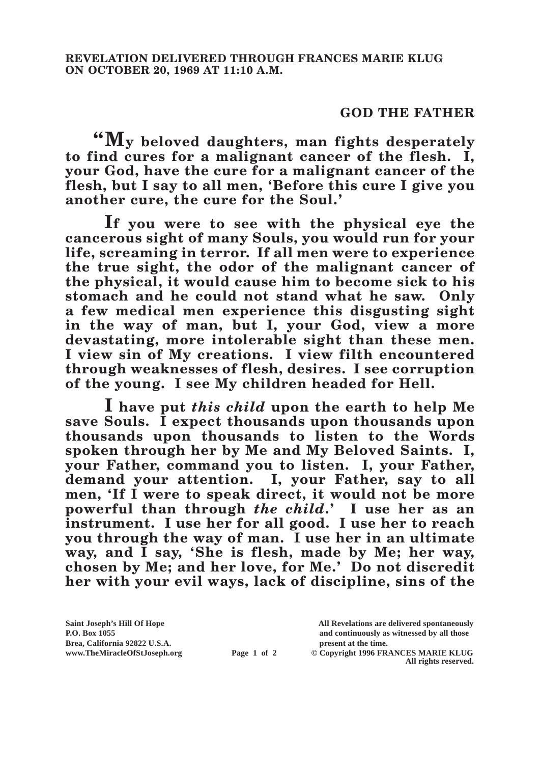## **GOD THE FATHER**

**"My beloved daughters, man fights desperately to find cures for a malignant cancer of the flesh. I, your God, have the cure for a malignant cancer of the flesh, but I say to all men, 'Before this cure I give you another cure, the cure for the Soul.'**

**If you were to see with the physical eye the cancerous sight of many Souls, you would run for your life, screaming in terror. If all men were to experience the true sight, the odor of the malignant cancer of the physical, it would cause him to become sick to his stomach and he could not stand what he saw. Only a few medical men experience this disgusting sight in the way of man, but I, your God, view a more devastating, more intolerable sight than these men. I view sin of My creations. I view filth encountered through weaknesses of flesh, desires. I see corruption of the young. I see My children headed for Hell.**

**I have put** *this child* **upon the earth to help Me save Souls. I expect thousands upon thousands upon thousands upon thousands to listen to the Words spoken through her by Me and My Beloved Saints. I, your Father, command you to listen. I, your Father, demand your attention. I, your Father, say to all men, 'If I were to speak direct, it would not be more powerful than through** *the child***.' I use her as an instrument. I use her for all good. I use her to reach you through the way of man. I use her in an ultimate way, and I say, 'She is flesh, made by Me; her way, chosen by Me; and her love, for Me.' Do not discredit her with your evil ways, lack of discipline, sins of the** 

**P.O. Box 1055 and continuously as witnessed by all those** 

**www.TheMiracleOfStJoseph.org Page 1 of 2 © Copyright 1996 FRANCES MARIE KLUG All rights reserved.**